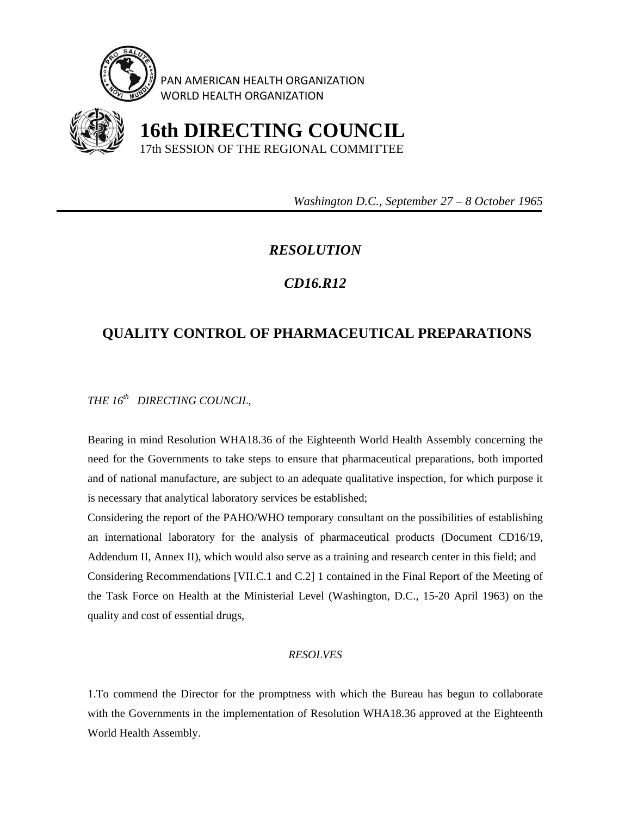

PAN AMERICAN HEALTH ORGANIZATION WORLD HEALTH ORGANIZATION



 **16th DIRECTING COUNCIL** 17th SESSION OF THE REGIONAL COMMITTEE

 *Washington D.C., September 27 – 8 October 1965* 

## *RESOLUTION*

## *CD16.R12*

## **QUALITY CONTROL OF PHARMACEUTICAL PREPARATIONS**

*THE 16th DIRECTING COUNCIL,* 

Bearing in mind Resolution WHA18.36 of the Eighteenth World Health Assembly concerning the need for the Governments to take steps to ensure that pharmaceutical preparations, both imported and of national manufacture, are subject to an adequate qualitative inspection, for which purpose it is necessary that analytical laboratory services be established;

Considering the report of the PAHO/WHO temporary consultant on the possibilities of establishing an international laboratory for the analysis of pharmaceutical products (Document CD16/19, Addendum II, Annex II), which would also serve as a training and research center in this field; and Considering Recommendations [VII.C.1 and C.2] 1 contained in the Final Report of the Meeting of the Task Force on Health at the Ministerial Level (Washington, D.C., 15-20 April 1963) on the quality and cost of essential drugs,

## *RESOLVES*

1.To commend the Director for the promptness with which the Bureau has begun to collaborate with the Governments in the implementation of Resolution WHA18.36 approved at the Eighteenth World Health Assembly.